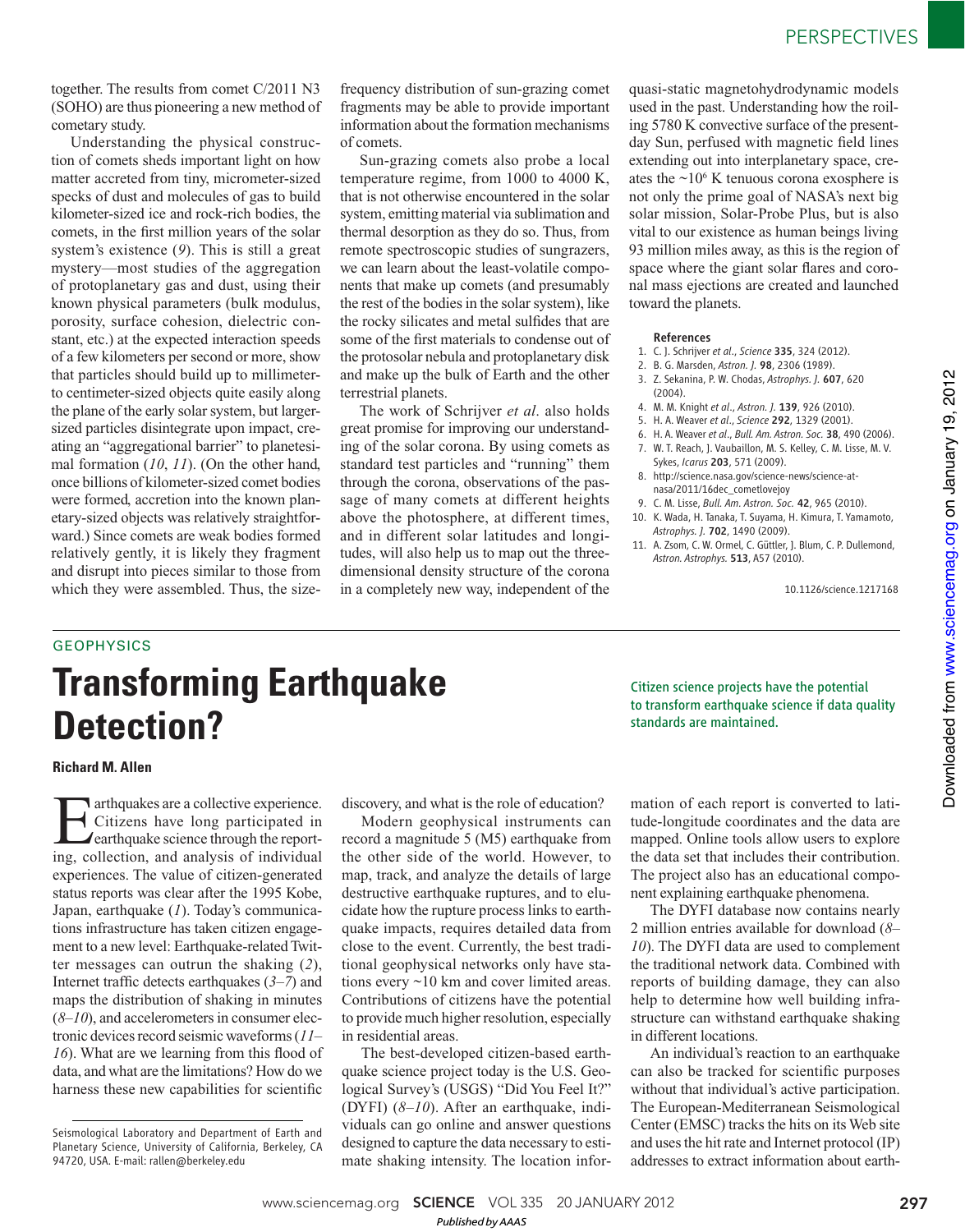together. The results from comet C/2011 N3 (SOHO) are thus pioneering a new method of cometary study.

Understanding the physical construction of comets sheds important light on how matter accreted from tiny, micrometer-sized specks of dust and molecules of gas to build kilometer-sized ice and rock-rich bodies, the comets, in the first million years of the solar system's existence (9). This is still a great mystery—most studies of the aggregation of protoplanetary gas and dust, using their known physical parameters (bulk modulus, porosity, surface cohesion, dielectric constant, etc.) at the expected interaction speeds of a few kilometers per second or more, show that particles should build up to millimeterto centimeter-sized objects quite easily along the plane of the early solar system, but largersized particles disintegrate upon impact, creating an "aggregational barrier" to planetesimal formation (10, 11). (On the other hand, once billions of kilometer-sized comet bodies were formed, accretion into the known planetary-sized objects was relatively straightforward.) Since comets are weak bodies formed relatively gently, it is likely they fragment and disrupt into pieces similar to those from which they were assembled. Thus, the size-

frequency distribution of sun-grazing comet fragments may be able to provide important information about the formation mechanisms of comets.

Sun-grazing comets also probe a local temperature regime, from 1000 to 4000 K, that is not otherwise encountered in the solar system, emitting material via sublimation and thermal desorption as they do so. Thus, from remote spectroscopic studies of sungrazers, we can learn about the least-volatile components that make up comets (and presumably the rest of the bodies in the solar system), like the rocky silicates and metal sulfides that are some of the first materials to condense out of the protosolar nebula and protoplanetary disk and make up the bulk of Earth and the other terrestrial planets.

The work of Schrijver *et al*. also holds great promise for improving our understanding of the solar corona. By using comets as standard test particles and "running" them through the corona, observations of the passage of many comets at different heights above the photosphere, at different times, and in different solar latitudes and longitudes, will also help us to map out the threedimensional density structure of the corona in a completely new way, independent of the quasi-static magnetohydrodynamic models used in the past. Understanding how the roiling 5780 K convective surface of the presentday Sun, perfused with magnetic field lines extending out into interplanetary space, creates the  $\sim$ 10<sup>6</sup> K tenuous corona exosphere is not only the prime goal of NASA's next big solar mission, Solar-Probe Plus, but is also vital to our existence as human beings living 93 million miles away, as this is the region of space where the giant solar flares and coronal mass ejections are created and launched toward the planets.

#### References

- 1. C. J. Schrijver *et al*., *Science* 335, 324 (2012).
- 2. B. G. Marsden, *Astron. J.* 98, 2306 (1989). 3. Z. Sekanina, P. W. Chodas, *Astrophys. J.* 607, 620
- (2004).
- 4. M. M. Knight *et al*., *Astron. J.* 139, 926 (2010).
- 5. H. A. Weaver *et al*., *Science* 292, 1329 (2001).
- 6. H. A. Weaver *et al*., *Bull. Am. Astron. Soc.* 38, 490 (2006).
- 7. W. T. Reach, J. Vaubaillon, M. S. Kelley, C. M. Lisse, M. V.
- Sykes, *Icarus* 203, 571 (2009). 8. http://science.nasa.gov/science-news/science-atnasa/2011/16dec\_cometlovejoy
- 9. C. M. Lisse, *Bull. Am. Astron. Soc.* 42, 965 (2010). 10. K. Wada, H. Tanaka, T. Suyama, H. Kimura, T. Yamamoto, *Astrophys. J.* 702, 1490 (2009).
- 11. A. Zsom, C. W. Ormel, C. Güttler, J. Blum, C. P. Dullemond, *Astron. Astrophys.* 513, A57 (2010).

10.1126/science.1217168

### **GEOPHYSICS**

# **Transforming Earthquake Detection?**

**Richard M. Allen**

Earthquakes are a collective experience.<br>
Citizens have long participated in<br>
earthquake science through the report-<br>
earthquake science through the report-Citizens have long participated in ing, collection, and analysis of individual experiences. The value of citizen-generated status reports was clear after the 1995 Kobe, Japan, earthquake (1). Today's communications infrastructure has taken citizen engagement to a new level: Earthquake-related Twitter messages can outrun the shaking (2), Internet traffic detects earthquakes  $(3-7)$  and maps the distribution of shaking in minutes  $(8-10)$ , and accelerometers in consumer electronic devices record seismic waveforms ( *11*– *16*). What are we learning from this flood of data, and what are the limitations? How do we harness these new capabilities for scientific

discovery, and what is the role of education?

Modern geophysical instruments can record a magnitude 5 (M5) earthquake from the other side of the world. However, to map, track, and analyze the details of large destructive earthquake ruptures, and to elucidate how the rupture process links to earthquake impacts, requires detailed data from close to the event. Currently, the best traditional geophysical networks only have stations every ~10 km and cover limited areas. Contributions of citizens have the potential to provide much higher resolution, especially in residential areas.

The best-developed citizen-based earthquake science project today is the U.S. Geological Survey's (USGS) "Did You Feel It?" (DYFI)  $(8-10)$ . After an earthquake, individuals can go online and answer questions designed to capture the data necessary to estimate shaking intensity. The location inforCitizen science projects have the potential to transform earthquake science if data quality standards are maintained.

mation of each report is converted to latitude-longitude coordinates and the data are mapped. Online tools allow users to explore the data set that includes their contribution. The project also has an educational component explaining earthquake phenomena.

The DYFI database now contains nearly 2 million entries available for download ( *8*– *10*). The DYFI data are used to complement the traditional network data. Combined with reports of building damage, they can also help to determine how well building infrastructure can withstand earthquake shaking in different locations.

An individual's reaction to an earthquake can also be tracked for scientific purposes without that individual's active participation. The European-Mediterranean Seismological Center (EMSC) tracks the hits on its Web site and uses the hit rate and Internet protocol (IP) addresses to extract information about earth-

Seismological Laboratory and Department of Earth and Planetary Science, University of California, Berkeley, CA 94720, USA. E-mail: rallen@berkeley.edu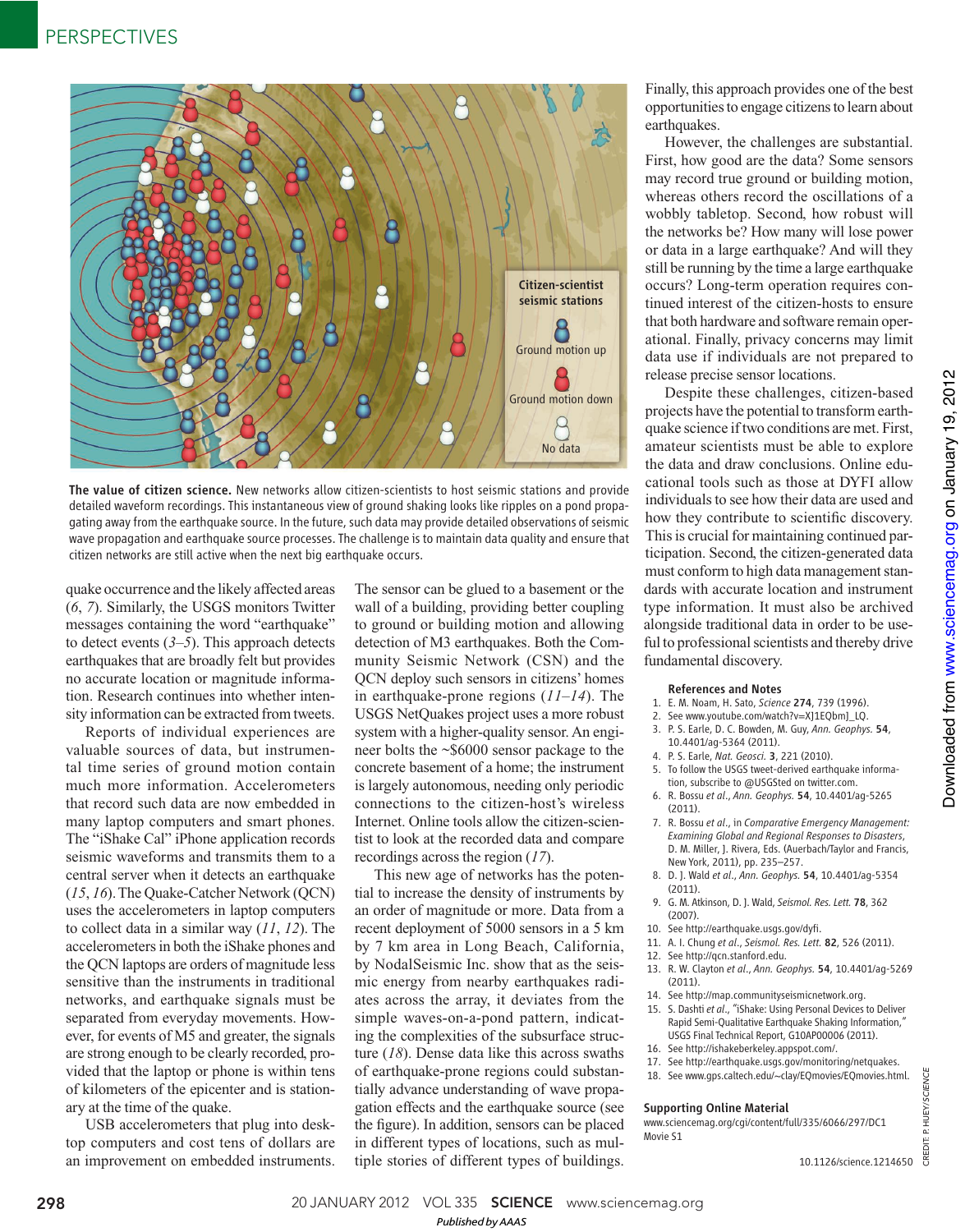

The value of citizen science. New networks allow citizen-scientists to host seismic stations and provide detailed waveform recordings. This instantaneous view of ground shaking looks like ripples on a pond propagating away from the earthquake source. In the future, such data may provide detailed observations of seismic wave propagation and earthquake source processes. The challenge is to maintain data quality and ensure that citizen networks are still active when the next big earthquake occurs.

quake occurrence and the likely affected areas ( *6*, *7*). Similarly, the USGS monitors Twitter messages containing the word "earthquake" to detect events  $(3-5)$ . This approach detects earthquakes that are broadly felt but provides no accurate location or magnitude information. Research continues into whether intensity information can be extracted from tweets.

Reports of individual experiences are valuable sources of data, but instrumental time series of ground motion contain much more information. Accelerometers that record such data are now embedded in many laptop computers and smart phones. The "iShake Cal" iPhone application records seismic waveforms and transmits them to a central server when it detects an earthquake ( *15*, *16*). The Quake-Catcher Network (QCN) uses the accelerometers in laptop computers to collect data in a similar way ( *11*, *12*). The accelerometers in both the iShake phones and the QCN laptops are orders of magnitude less sensitive than the instruments in traditional networks, and earthquake signals must be separated from everyday movements. However, for events of M5 and greater, the signals are strong enough to be clearly recorded, provided that the laptop or phone is within tens of kilometers of the epicenter and is stationary at the time of the quake.

USB accelerometers that plug into desktop computers and cost tens of dollars are an improvement on embedded instruments.

The sensor can be glued to a basement or the wall of a building, providing better coupling to ground or building motion and allowing detection of M3 earthquakes. Both the Community Seismic Network (CSN) and the QCN deploy such sensors in citizens' homes in earthquake-prone regions  $(11-14)$ . The USGS NetQuakes project uses a more robust system with a higher-quality sensor. An engineer bolts the ~\$6000 sensor package to the concrete basement of a home; the instrument is largely autonomous, needing only periodic connections to the citizen-host's wireless Internet. Online tools allow the citizen-scientist to look at the recorded data and compare recordings across the region (17).

This new age of networks has the potential to increase the density of instruments by an order of magnitude or more. Data from a recent deployment of 5000 sensors in a 5 km by 7 km area in Long Beach, California, by NodalSeismic Inc. show that as the seismic energy from nearby earthquakes radiates across the array, it deviates from the simple waves-on-a-pond pattern, indicating the complexities of the subsurface structure  $(18)$ . Dense data like this across swaths of earthquake-prone regions could substantially advance understanding of wave propagation effects and the earthquake source (see the figure). In addition, sensors can be placed in different types of locations, such as multiple stories of different types of buildings.

Finally, this approach provides one of the best opportunities to engage citizens to learn about earthquakes.

However, the challenges are substantial. First, how good are the data? Some sensors may record true ground or building motion, whereas others record the oscillations of a wobbly tabletop. Second, how robust will the networks be? How many will lose power or data in a large earthquake? And will they still be running by the time a large earthquake occurs? Long-term operation requires continued interest of the citizen-hosts to ensure that both hardware and software remain operational. Finally, privacy concerns may limit data use if individuals are not prepared to release precise sensor locations.

Despite these challenges, citizen-based projects have the potential to transform earthquake science if two conditions are met. First, amateur scientists must be able to explore the data and draw conclusions. Online educational tools such as those at DYFI allow individuals to see how their data are used and how they contribute to scientific discovery. This is crucial for maintaining continued participation. Second, the citizen-generated data must conform to high data management standards with accurate location and instrument type information. It must also be archived alongside traditional data in order to be useful to professional scientists and thereby drive fundamental discovery.

### References and Notes

- 1. E. M. Noam, H. Sato, *Science* 274, 739 (1996).
- 2. See www.youtube.com/watch?v=XJ1EQbmJ\_LQ.
- 3. P. S. Earle, D. C. Bowden, M. Guy, *Ann. Geophys.* 54, 10.4401/ag-5364 (2011).
- 4. P. S. Earle, *Nat. Geosci.* 3, 221 (2010).
- 5. To follow the USGS tweet-derived earthquake information, subscribe to @USGSted on twitter.com.
- 6. R. Bossu *et al*., *Ann. Geophys.* 54, 10.4401/ag-5265 (2011).
- 7. R. Bossu *et al*., in *Comparative Emergency Management: Examining Global and Regional Responses to Disasters*, D. M. Miller, J. Rivera, Eds. (Auerbach/Taylor and Francis, New York, 2011), pp. 235–257.
- 8. D. J. Wald *et al*., *Ann. Geophys.* 54, 10.4401/ag-5354  $(2011)$
- 9. G. M. Atkinson, D. J. Wald, *Seismol. Res. Lett.* 78, 362 (2007).
- 10. See http://earthquake.usgs.gov/dyfi .
- 11. A. I. Chung *et al*., *Seismol. Res. Lett.* 82, 526 (2011).
- 12. See http://qcn.stanford.edu.
- 13. R. W. Clayton *et al*., *Ann. Geophys.* 54, 10.4401/ag-5269 (2011).
- 14. See http://map.communityseismicnetwork.org.
- 15. S. Dashti *et al*., "iShake: Using Personal Devices to Deliver Rapid Semi-Qualitative Earthquake Shaking Information," USGS Final Technical Report, G10AP00006 (2011).
- 16. See http://ishakeberkeley.appspot.com/.
- 17. See http://earthquake.usgs.gov/monitoring/netquakes.
- 18. See www.gps.caltech.edu/~clay/EQmovies/EQmovies.html.

### Supporting Online Material

www.sciencemag.org/cgi/content/full/335/6066/297/DC1 Movie S1

10.1126/science.1214650

CREDIT: P. HUEY/SCIENCE

CREDIT

P. HUEY/SCIENCE

on January 19, 2012

[www.sciencemag.org](http://www.sciencemag.org/)

Downloaded from www.sciencemag.org on January 19, 2012

Downloaded from

298 2012 2012 VOL 335 SCIENCE www.sciencemag.org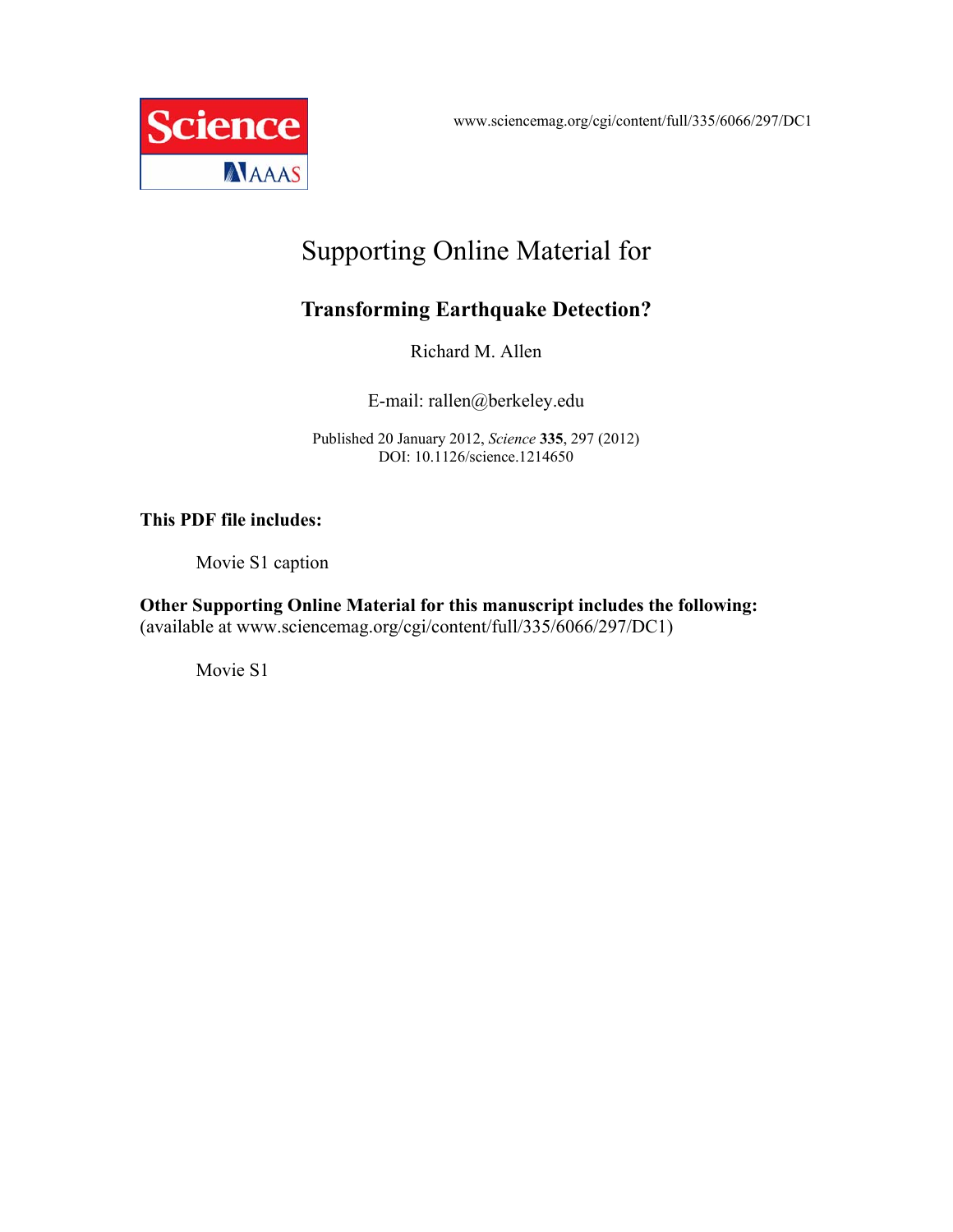www.sciencemag.org/cgi/content/full/335/6066/297/DC1



## Supporting Online Material for

## **Transforming Earthquake Detection?**

Richard M. Allen

E-mail: rallen@berkeley.edu

Published 20 January 2012, *Science* **335**, 297 (2012) DOI: 10.1126/science.1214650

### **This PDF file includes:**

Movie S1 caption

**Other Supporting Online Material for this manuscript includes the following:**  (available at www.sciencemag.org/cgi/content/full/335/6066/297/DC1)

Movie S1